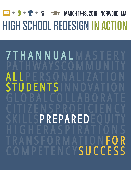## **<sup>=</sup>** MARCH 17–18, 2016 | NORWOOD, MA **<sup>+</sup> <sup>+</sup> <sup>+</sup>** $\sqrt{\frac{1}{2}}$ HIGH SCHOOL REDESIGNINACTION

## 7THANNUAL M PATHWAYSCOMMUNITY ALL PERSONALIZATION ENTSI GLOBALCOLLABORATE CITIZENSPROFICIENCY PREPARE HIGHERASPIRATIONS TRANSFORMATION FOR SUCCESS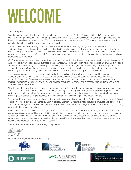# WELCOME

#### Dear Colleagues,

Over the last five years, the high school graduation rate across the New England Secondary School Consortium states has risen 7 percentage points, an increase that equates to more than 22,000 additional students earning a high school diploma than would have been expected at the 2009 graduation rate. Last year alone, over 6,700 more students received a high school diploma than the 2009 rate would have predicted.

We are in the midst of several significant changes. We've personalized learning through the implementation of proficiency-based education and the development of flexible student learning pathways. It's not the first time that we've all tackled changing our system at scale, but it is one of the rare times when so many schools and districts are headed in the same direction, and the NESSC's Global Best Practices remains one of the best descriptions and most useful tools clarifying characteristics of this effort.

NESSC state agencies of education have played a pivotal role, leading the charge to ensure the development and passage of state-level policy that supports and leverages these changes. Our State Education Agency colleagues have further developed direct support structures by simultaneously implementing state-level strategies and collaborating in the development of the League of Innovative Schools. Hard-working educators are not hanging out on the end of a thin limb on their own, but rather are working in a favorable policy climate with state support to rethink learning in support of each student.

Parents and community members are joining this effort, urging data collection beyond standardized test scores, understanding the value of performance assessment, and realizing the need for quality learning to ensure energized and fruitful future lives. Colleges and universities have demonstrated their commitment, both by starting to implement proficiency programs of their own and by signing pledges of support for admissions processes from students who submit proficiency-based transcripts.

All of this has little value if nothing changes for students. Even as learning standards become more rigorous and assessment practices become more reliable, more students are graduating from our high schools (up seven percentage points), more students are enrolling in college (up slightly, even as more students are graduating), and the socioeconomic disparities are narrowing (as illustrated by a gap decrease of four percentage points in the high school graduation rate).

This tremendous success, however, should not blind us to several troubling data points. Far too many students are still forced to enroll in remedial courses upon matriculation in college. Economically disadvantaged students graduate high school at a rate of 16 percentage points lower than their advantaged peers. And, while our college enrollment rate is increasing, it is doing so at a rate that remains too slow.

Nevertheless, we live at a time when changing the lives of students is not only imaginable, but truly achievable. More students are engaging in self-designed learning activities, undertaking internships, enrolling in early college courses, and learning more deeply than was expected in the past. With the talent of our educators, the dedication of students and parents, and the strong support from our state agencies and legislatures, New England is powerfully poised to better educate every student, equitably and rigorously—more so than ever before.

I look forward to continuing this incredible journey with all of you,

David J. Ruff

Executive Director, Great Schools Partnership













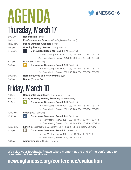

# AGENDA Thursday, March 17

| $8:00$ a.m.  | <b>Registration</b> (Foyer)                                         |
|--------------|---------------------------------------------------------------------|
| $9:00$ a.m.  | <b>Pre-Conference Sessions</b> (Pre-Registration Required)          |
| $11:30$ a.m. | <b>Boxed Lunches Available (Foyer)</b>                              |
| 1:00 p.m.    | <b>Opening Plenary Session (Tiffany Ballroom)</b>                   |
| 2:15 p.m.    | <b>Concurrent Sessions: Round 1 (12 Sessions)</b>                   |
|              | 1st Floor Meeting Rooms: 102, 103, 104, 105/106, 107/108, 113       |
|              | 2nd Floor Meeting Rooms: 201, 202, 203, 204, 205/206, 208/209       |
| $3:30$ p.m.  | <b>Break</b> (Break Stations)                                       |
| $3:45$ p.m.  | $\overline{2}$<br><b>Concurrent Sessions: Round 2 (12 Sessions)</b> |
|              | 1st Floor Meeting Rooms: 102, 103, 104, 105/106, 107/108, 113       |
|              | 2nd Floor Meeting Rooms: 201, 202, 203, 204, 205/206, 208/209       |
| $5:00$ p.m.  | Hors d'oeuvres and Networking (Foyer)                               |
| 6:30 p.m.    | <b>Dinner</b> (On Your Own)                                         |
|              |                                                                     |

## Friday, March 18

| 7:00 a.m.  | <b>Continental Breakfast (Ballroom Terrace + Foyer)</b>                                  |
|------------|------------------------------------------------------------------------------------------|
| 8:00 a.m.  | <b>Friday Morning Plenary Session (Tiffany Ballroom)</b>                                 |
| 9:15 a.m.  | <b>Concurrent Sessions: Round 3 (12 Sessions)</b>                                        |
|            | 1st Floor Meeting Rooms: 102, 103, 104, 105/106, 107/108, 113                            |
|            | 2nd Floor Meeting Rooms: 201, 202, 203, 204, 205/206, 208/209                            |
| 10:30 a.m. | <b>Break</b> (Break Stations)                                                            |
| 10:45 a.m. | 4<br><b>Concurrent Sessions: Round 4 (12 Sessions)</b>                                   |
|            | 1st Floor Meeting Rooms: 102, 103, 104, 105/106, 107/108, 113                            |
|            | 2nd Floor Meeting Rooms: 201, 202, 203, 204, 205/206, 208/209                            |
| 12:00 p.m. | <b>Lunch</b> (Locations: ME in Zachariah's, VT in Foyer, all others in Tiffany Ballroom) |
| 1:15 p.m.  | 5 <sup>1</sup><br><b>Concurrent Sessions: Round 5 (9 Sessions)</b>                       |
|            | 1st Floor Meeting Rooms: 102, 103, 104, 105/106, 107/108                                 |
|            | 2nd Floor Meeting Rooms: 201, 202, 203, 204                                              |
| 2:30 p.m.  | <b>Adjournment</b> (No Closing Cermony)                                                  |
|            |                                                                                          |

We value your feedback. Please take a moment at the end of the conference to complete this brief evaluation.

## **newenglandssc.org/conference/evaluation**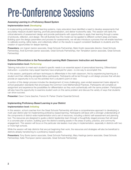## Pre-Conference Sessions

#### **Assessing Learning in a Proficiency-Based System**

#### **Implementation level:** *Developing*

In implementing proficiency-based learning systems, many educators have identified a need to develop assessments that accurately measure student learning, promote personalization, and deliver trustworthy data. This session will clarify the critical elements of assessment design and provide participants with opportunities to apply their learning through a series of protocols, reflection, and design. We will illustrate how this model can be applied to different content areas and tasks. Building upon the design parameters and process for assessments, we will also introduce a process that will enable teachers to calibrate scoring, refine tasks, and collectively reflect on the results to support consistent feedback to students and the creation of opportunities for deeper learning.

**Presenters:** Jon Ingram (senior associate, Great Schools Partnership), Mark Kostin (associate director, Great Schools Partnership), Andi Summers (senior associate, Great Schools Partnership), Ken Templeton (senior associate, Great Schools Partnership)

#### **Extreme Differentiation in the Personalized-Learning Math Classroom: Instruction and Assessment**

#### **Implementation level:** *Performing*

Tailoring instruction to meet each student's specific needs is an essential aspect of personalized learning. Differentiated instruction—a practice many expert teachers have employed for years—is one way to accomplish this.

In this session, participants will learn techniques to differentiate in the math classroom, first by experiencing learning as a student and then reflecting alongside fellow participants. Participants will be led through a unit design process that will also provide an opportunity to try out the activities from a student's point of view.

A portion of this design process includes the development of more challenging, open-ended assessment tasks aligned to school graduation standards that encompass the Common Core Mathematical Practices. Participants will complete an assignment and experience the possibilities for differentiation as they work authentically with the same problem. Participants will also have the opportunity to examine student work on this same problem and discuss the variety of ways that students can show success.

**Presenter:** Dawn Crane (teacher, Francis W. Parker Charter Essential School)

#### **Implementing Proficiency-Based Learning in your District**

#### **Implementation level:** *Initiating*

In this session, school coaches from the Great Schools Partnership will share a comprehensive approach to developing a multi-year district plan for implementing proficiency-based learning. Participants will leave with a stronger understanding of the components of district-wide implementation and a set of resources, including a district self-assessment and planning tool. The resources are designed to guide a district leadership team through a thoughtfully staged process that will result in a concrete plan of action, building upon the district's existing assets in the areas of policy, practice, and community engagement. This session will focus on the particular role leaders must play in implementation, especially in districts with two or more high schools.

While the session will help districts that are just beginning their work, the resources and strategies will also be beneficial to districts already transitioning to a proficiency-based system.

**Presenters:** Tony Burks (senior associate, Great Schools Partnership), Mary Hastings (senior associate, Great Schools Partnership), Katie Thompson (senior associate, Great Schools Partnership)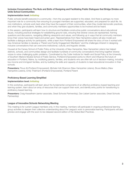#### **Inclusive Conversations: The Nuts and Bolts of Designing and Facilitating Public Dialogues that Bridge Divides and Unite School Communities**

#### **Implementation level:** *Initiating*

Public schools benefit everyone in a community—from the youngest resident to the oldest. And there is perhaps no more important role for a community than ensuring its youngest members are supported, educated, and prepared for adult life. As civic institutions, schools work best when they have the support of their communities, when they model democratic practices, and when they give students, families, and community members opportunities to be involved and be heard.

In this session, participants will learn how to structure and facilitate constructive public conversations about educational issues, including practical strategies for establishing ground rules, ensuring that diverse voices are represented, framing questions and discussions, navigating differing viewpoints and values, and following up in ways that let community members know their voices have been heard and acted upon. Representatives from New Hampshire Listens will also model and facilitate a dialogue activity for participants, while a team from Portland Empowered will share the story of how it worked with new American families to develop a "Parent and Family Engagement Manifesto" and the challenges inherent in designing inclusive conversations that can overcome institutional, cultural, and linguistic divides.

Housed at the Carsey School of Public Policy at the University of New Hampshire, New Hampshire Listens has helped districts, schools, and communities design and facilitate hundreds of community conversations that bring together diverse voices to solve challenging public problems. Coordinated by the Cutler Institute for Health and Social Policy at the University of Southern Maine's Muskie School of Public Service, Portland Empowered works to inform and influence the future of education in Portland, Maine, by mobilizing parents, families, and students who are often left out of decision-making, including low-income and immigrant families, and by building the skills and capacity of students to lead educational innovation in their schools.

**Presenters:** Pious Ali (Portland Empowered), Michele Holt-Shannon (New Hampshire Listens), Bruce Mallory (New Hampshire Listens), Emily Thielmann (Portland Empowered), Portland Parent

#### **Proficiency-Based Learning Simplified**

#### **Implementation level:** *Initiating*

In this workshop, participants will learn about the fundamental components of an effective proficiency-based teaching and learning system, learn about an array of resources that can support their work, and identify entry points for transitioning to proficiency-based learning.

**Presenters:** Craig Kesselheim (senior associate, Great Schools Partnership), Dan Liebert (senior associate, Great Schools Partnership)

#### **League of Innovative Schools Networking Meeting**

This meeting is for current League members only. In this meeting, members will participate in ongoing professional learning group activities to deepen their collective understanding about the League's work to personalize learning. Participants will also preview and engage with the soon-to-be-released second edition of the *Global Best Practices*.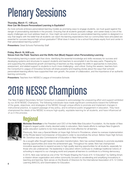## Plenary Sessions

#### **Thursday, March 17, 1:00 p.m. How
 Can 
We 
Ensure 
Personalized 
Learning 
is 
Equitable?**

As more schools embrace personalized learning models as promising ways to engage students, we must guard against the danger of personalizing standards in the process. Ensuring that all students graduate college- and career-ready is one of the equity challenges we must address head on. How might we work to ensure our personalized learning system is designed in a way that begins with the belief that all students can reach the learning expectations that our communities have articulated are essential for success beyond high school graduation? What does it mean to be a school that places equity front and center in their personalized learning system?

**Presenters:** Great Schools Partnership Staff

#### **Friday, March 18, 8:00 a.m. Voices from the Field: Teachers and the Shifts that (Must) Happen when Personalizing Learning**

Personalizing learning is easier said than done. Identifying the essential knowledge and skills necessary for success and developing systems and structures to support students and teachers to accomplish it are the easy parts. Preparing for and supporting the professional growth and learning of teachers as they navigate the shifts in approaches to instruction, assessment, and related support to students is much more challenging—and critical. During this session, teachers from the Consortium's League of Innovative Schools will share powerful and inspiring stories about the ways their schools' personalized-learning efforts have supported their own growth, the power of collaboration, and the importance of an authentic learning community.

**Presenters:** Teachers from NESSC's League of Innovative Schools

# 2016 NESSC Champions

The New England Secondary School Consortium is pleased to acknowledge the unwavering effort and support exhibited by our 2016 NESSC Champions. The following individuals have made significant contributions toward the fulfillment of the goals, objectives, and strategies of the NESSC through unique efforts to promote and implement changes in instructional practice, to support passage of key policy, and to enhance public engagement in education. They have championed the ideals of the NESSC to ensure high-quality, equitable learning for all students, and have influenced all of us in this process.

## **Regional**



**Nicholas Donohue** is the President and CEO of the Nellie Mae Education Foundation. As the leader of New England's largest public charity devoted solely to education, Nick heads efforts to reshape New England's public education systems to be more equitable and more effective for all learners.

Previously, Nick was a Special Master at Hope High School in Providence, where he oversaw implementation of the Rhode Island Commissioner of Education's order to reconstitute the school. Before Hope High School, Mr. Donohue was also Commissioner of Education in New Hampshire.

As a sought-after thought leader in education transformation, Nick has worked tirelessly to promote equitable learning opportunities and close the achievement gap. Throughout his career, Nick has championed innovative approaches to expand access to high-quality learning opportunities for all students, especially for those who are underserved. His leadership in education reform continues to challenge traditional notions of schooling to respond to our changing world and prepare all learners to contribute to a thriving democracy.

In 2015, Nick was named as one of the "50 People Shaping the Future of K-12 Education" by Getting Smart, a mission-driven organization and online community focused on accelerating and amplifying innovations in teaching and learning. Nick serves on the Boards of Directors for the International Association of K-12 Online Learning (iNACOL) and Grantmakers for Education. **<sup>4</sup>**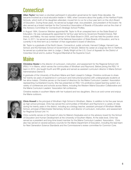## **Connecticut**



**Allan Taylor** has been a volunteer participant in education governance for nearly three decades. He became involved as a local education leader in 1989, when concerns about the quality of the Hartford Public Schools, which both of his daughters attended, moved him to run for a four-year term on the city's Board of Education. During those years, he served as budget chair, vice president, and president of the board. He also served as a board member for the Connecticut Association of Boards of Education and as the chair of the Advisory Committee for Connecticut's Strategic School Profiles.

In August 1994, Governor Weicker appointed Mr. Taylor to fill an unexpired term on the State Board of Education. He was subsequently appointed for full four-year terms by Governors Rowland (twice), Rell (twice), and Malloy. He was named chairman of the State Board in 2005, and has held the position since then. In 2011, he served as president of the National Association of State Boards of Education, and he is currently in his third term as a member of that organization's board of directors.

Mr. Taylor is a graduate of the North Haven, Connecticut, public schools; Harvard College; Harvard Law School; and the Kennedy School of Government at Harvard. Before his career at a large law firm in Hartford, he served as a judicial law clerk to Judge J. Skelly Wright at the U.S. Court of Appeals for the District of Columbia Circuit and to Justice Thurgood Marshall at the Supreme Court.

## **Maine**



**Christine Hesler** is the director of curriculum, instruction, and assessment for the Regional School Unit (RSU) 14 in Maine, which serves the communities of Windham and Raymond. Before joining the RSU 14 team in 2012, she taught fourth and fifth grade and served as assistant curriculum director in Maine School Administrative District 6.

A graduate of the University of Southern Maine and Saint Joseph's College, Christine continues to share her twenty-six years of experience in curriculum and instructional practice with undergraduate students at her alma maters. Christine serves on the board of directors for the Maine Curriculum Leaders' Association representing Cumberland County. She has presented on RSU 14's proficiency-based learning system at a variety of conferences and schools across Maine, including the Western Maine Education Collaborative and the Maine Curriculum Leaders' Association fall conference.

Christine resides in southern Maine with her husband and two daughters. She is an avid runner and enjoys the Maine outdoors.



**Chris Howell** is the principal of Windham High School in Windham, Maine. In addition to his five-year tenure as high school principal, Chris has served the communities of Windham and Raymond in a variety of roles during his twenty years in the district, including as a biology teacher, assistant principal of Windham Middle School, principal of Manchester Elementary School, and director of curriculum, instruction, and assessment for Regional School Unit 14.

Chris currently serves on the board of Jobs for Maine's Graduates and on the advisory board for the School of Education and Human Development at the University of Southern Maine. At the state level, Chris has served as a president and long-time board member for the Maine Curriculum Leaders' Association. Chris also has served on several advisory councils for the Maine Department of Education, including the lead team for Next Generation Science Standards and the Commissioner's review committee for Common Core.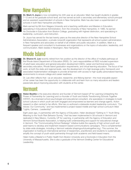## New Hampshire



**Dr. Mark V. Joyce** is now completing his 44th year as an educator. Mark has taught students in grades 7–12 and at the graduate school level, and has served as both a secondary and elementary school principal and an assistant superintendent of schools in New Hampshire. Mark has also been a superintendent of schools in both New Hampshire and Maine.

Mark earned his BA from Niagara University and a teaching certification and Masters in Education, specializing in Educational Administration, from the University of New Hampshire. In 1986, he earned his Doctorate in Education from Boston College, graduating with highest distinction, and specializing in leadership, curriculum, and instruction.

Dr. Joyce has served for the last twenty years as the executive director of the New Hampshire School Administrators Association, a private nonprofit organization that represents all school system administrators in New Hampshire and advocates on behalf of all children and public education. In addition, Mark is a frequent speaker and consultant to businesses and organizations on the topics of education, leadership, and communication. Mark resides in Newington, New Hampshire.

## Rhode Island



**Dr. Sharon K. Lee** recently retired from her position as the director of the office of multiple pathways at the Rhode Island Department of Education (RIDE). Dr. Lee's responsibilities at RIDE included supervision of adult basic education and general education development (GED), career and technical education, secondary education, Rhode Island graduation requirements, and virtual learning education. The focus of her work, at both the state and regional levels, was the development of a high-leverage policy framework and associated implementation strategies to provide all learners with access to high-quality personalized-learning environments to ensure college and career readiness.

Dr. Lee often reflects that—as an educator, researcher, and lifelong learner—the most enjoyable aspect of her career has been the opportunity to collaborate with and learn from so many educators and leaders passionate about improving education with students at the center.

## Vermont



**Helen Beattie** is the executive director and founder of Vermont-based UP for Learning (Unleashing the Power of Partnership for Learning) and co-founder of Youth and Adults Transforming Schools Together (YATST). As a licensed school psychologist and educational consultant, she specializes in strategies to build school cultures in which youth are both engaged and empowered as learners and change agents. Action research is often central to her efforts. She has co-authored a statewide student leadership curriculum, "Our Voices: Our Community," and has implemented a project-based middle and high school curriculum titled "Lights, Camera…Leadership!"

Eight years ago, in partnership with the Agency of Education, Helen developed "Getting to Y: Youth Bring Meaning to the Youth Risk Behavior Survey," that has been implemented in 58 schools in Vermont and replicated in New Mexico. Currently, UP for Learning, in partnership with the Agency of Education and Vermont School Boards Association, is helping build understanding and support for educational change in Vermont. The "Communicating School Redesign" initiative builds the capacity of high school youth and adult teams to develop and implement research-based communications campaigns. This is complemented by state-wide strategies, including a Vermont website (shapingourfuturetogether.org,). This summer, the organization is hosting an international seminar of researchers, practitioners and students to systematically amplify the concept of youth-adult partnership through both academic and field-based means.

Helen holds a Master's in Public Health from Boston University and a Doctorate in Education from the University of Massachusetts. She is also a graduate of the Vermont Snelling Center for Educational Leadership.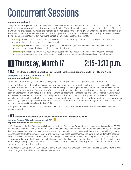## Concurrent Sessions

#### **Implementation Level**

Using the terminology from *Global Best Practices*, we have designated each conference session with one of three levels of strategy implementation: initiating, developing, or performing. These designations are by no means an indication of the quality of work being showcased, but rather are intended to provide participants with insight into where each presenting team is on the continuum of long-term implementation. It is our hope that this information will inform each participant's construction of their personalized agenda, thereby facilitating a more meaningful conference experience.

**Initiating:** Sessions listed with this designation describe efforts typically characteristic of schools or districts at the beginning stages of their personalized-learning work.

*Developing:* Sessions listed with this designation describe efforts typically characteristic of schools or districts that have begun to enter the implementation phase of their work.

**Performing:** Sessions listed with this designation describe efforts typically characteristic of schools or districts that have implemented their personalized-learning work and are focused on reflection and ongoing refinement.

## 1 Thursday, March 17 2:15-3:30 p.m.

### **102 The Struggle is Real! Supporting High School Teachers and Departments to Put PBL into Action**  *Burlington High School, Burlington, VT* **3 Implementation level:** *Initiating*

Transitioning to proficiency-based learning (PBL) may seem straightforward on paper, but getting there is hard!

In this workshop, presenters will share concrete tools, strategies, and examples that schools can use to build teacher capacity for implementing PBL in their classrooms and developing meaningful and usable graduation standards as teams. From a program that enables "early adopters" to build capacity in their colleagues, to in-house coaching and professional learning approaches, to templates that facilitate teachers' development of proficiencies and their associated learning activities and assessments—this hands-on workshop will provide practical resources that participants can take back to their own schools. Presenters will describe their assets-based approach to helping teacher teams build on what they are already doing while shifting to proficiency-based content-area standards that emphasize transferable skills aligned with the Common Core and Next Generation Science Standards (NGSS).

Participants will have a chance to try out and discuss some of these tools, and will walk away with access to all of the materials shared.

## **103 Formative Assessment and Teacher Feedback: What You Need to Know**

#### *Nokomis Regional High School, Newport, ME* **2** **Implementation level:** *Developing*

In *Visible Learning for Teachers*—which is based on a study of more than 900 meta-analyses representing well over 50,000 research articles and 240 million students—John Hattie describes what students want more than anything else in feedback they receive from teachers: they want to know how to improve their work so they can do better next time. Although many teachers incorporate formative assessment into their practice, these assessments don't always give students the detailed feedback they want and need, and teachers don't always use formative information to modify instruction. In this session, participants will explore the three elements that can increase the effectiveness of formative assessments: (1) using learning targets well, (2) giving valuable feedback, and (3) creating opportunities for re-teaching, interventions, and support in both classroom and school-wide practice.

In this session, participants will learn about a variety of structures and practices they can use to help students improve their work, strengthen their skills, and accelerate their learning.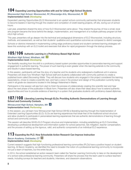### **104 Expanding Learning Opportunities with and for Urban High School Students** *Woonsocket High School, Woonsocket, RI | Riverzedge Arts, Woonsocket, RI* **2**

## **Implementation level:** *Developing*

Expanded Learning Opportunities (ELO) Woonsocket is an upstart school-community partnership that empowers students to become leaders in learning through the creation and completion of credit-bearing projects, off-site, during out-of-school hours.

Last year, presenters shared the story of how ELO Woonsocket came about. They shared the journey of how a small, local arts program became the force behind the design, implementation, and management of a multiple-pathway program at their city's high school.

This year, presenters will go deeper into the technical and pedagogical dimensions of ELO Woonsocket, including structure, methods, and assessment, as well as their students' qualitative and quantitative outcomes as compared to district averages.

Schools or districts interested in implementing cutting-edge proficiency-based and student-centered learning strategies will leave this workshop with an ELO toolkit and exercises that allow for rapid progression through the startup process.

## **105/106 Authentic Learning in a Proficiency-Based High School**

#### *Windham High School, Windham, ME* **3 Implementation level:** *Developing*

The flexibility resulting from the shift to a proficiency-based system provides opportunities to personalize learning and support engagement in authentic learning. The power of such learning is even greater when this learning extends to the community and results in place-based learning.

In this session, participants will hear the story of a teacher and his students who redesigned a traditional unit in science. Presenters will share how Windham High School staff and students collaborated with community partners to create a published book called *Discovering Water.* They will discuss how students who engaged in this project considered the learning expectations, chose to create a scientific text, and had a voice in the product and design of the publication currently being used in all grade-six classrooms located in the Sebago Watershed in Maine.

Participants in the session will see from start to finish the process of collaboratively creating this scientific text and hear about the next phase of the publication in iBook form. Presenters will also share their ideas about how to extend authentic opportunities and how to provide evidence of learning in a system that graduates students with proficiency-based diplomas.

### **107/108 Liberating Learning through ELOs: Providing Authentic Demonstrations of Learning through School and Community Contexts**

#### *Winnacunnet High School, Hampton, NH* **4 Implementation level:** *Performing*

In this session, you will learn how Winnacunnet High School (WHS) is liberating learning through the implementation of Extended Learning Opportunities (ELO). ELOs are learning experiences that break free of the traditional school structure and allow students to participate in personalized learning experiences that are authentic demonstrations of learning through school and community contexts.

This session will describe WHS's ELO Program structure and implementation, including establishing an ELO Committee, developing a professional development and information system for school personnel, risk mitigation, teacher compensation, and the process of setting up the rigorous, valid, and authentic components of an individual ELO experience.

## **113 Expanding the PLC: How Schoolwide Action Research Can Improve Instruction**

### *Bacon Academy, Colchester, CT* **5**

### **Implementation level:** *Developing*

Current research suggests that high-functioning professional learning communities (PLCs) have a positive impact on student learning. At Bacon Academy, we identified the need to broaden the notion of a professional learning community to incorporate not just a team of teachers, but the entire faculty.

In 2014, the school established an action research team called the Teacher Learning Community to take on the development of a school-wide professional learning community. Presenters will share the process that the team used to surface teachers' needs, including surveys for teachers and students, interviews, and classroom observations.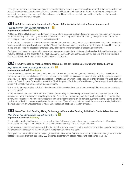Through this session, participants will gain an understanding of how to function as a school-wide PLC that can help teachers access research-based strategies to improve instruction. Participants will learn about Bacon Academy's working model for how to conduct action research in their schools and will leave with protocols to support the development of an action research team in their own schools.

## **201 A Call to Leadership: Harnessing the Power of Student Voice in Leading School Improvement**

#### *Harwood Union High School, Moretown, VT* **2 Implementation level:** *Initiating*

At Harwood Union High School, students are not only taking a proactive role in designing their own education and planning for future learning, but in serving as leaders in the school community responsible for creating the systems and structures necessary to ensure a personalized education is possible.

In this interactive session, administrators and teachers from Harwood Union will focus on the benefits of a shared leadership model in which adults and youth lead together. The presentation will provide the rationale for this type of shared leadership model and describe the practical elements as they relate to the implementation of personalized learning.

Participants will have the opportunity to construct a proposal or plan for instituting a distributed and shared leadership model inclusive of teachers and students in their school, and will leave with an understanding of the benefits of a distributed and shared leadership model inclusive of both teachers and students.

## **202 From Principles to Practice: Making Meaning of the Ten Principles of Proficiency-Based Learning**

#### *High School in the Community, New Haven, CT* **2 Implementation level:** *Developing*

Proficiency-based learning can take a wide variety of forms from state to state, school to school, and even classroom to classroom. And yet, certain beliefs and practices tend to be held in common across even diverse proficiency-based learning systems. To better define this shared pedagogical foundation upon which schools can build their proficiency-based learning work, the Great Schools Partnership created the "Ten Principles of Proficiency-Based Learning," which describes the features found in the most effective proficiency-based systems.

But what do these principles look like in the classroom? How do teachers make them meaningful for themselves, students, and colleagues?

In this workshop, participants will examine specific, purposefully implemented practices that various teachers use in their mastery classrooms to bring the ten principles to life. Through this exploration, participants will deepen their understanding of how these practices, when used purposefully, can have positive effects on student achievement. In small learning groups, participants will add to the presented collection of practices. They will be able to transport these concrete strategies back to their schools, with an understanding of how each supports at least one of the ten principles.

## **203 More Than Just Reading: Using Technology to Personalize Reading Activities in Content-Area Classes**

#### *Alan Shawn Feinstein Middle School, Coventry, RI* **3 Implementation level:** *Initiating*

The transition to blended learning can be overwhelming. But by using technology, teachers can effectively differentiate content-area reading lessons to support a variety of student learning styles and student choice.

In this session, presenters will guide participants through a sample lesson from the student's perspective, allowing participants to interact with the lesson while learning about the application's nuts and bolts.

Participants will leave with a teacher-tested game-plan for how to use free and low-cost applications to strengthen students' access to content-area text, especially ELL students, students with special needs, and accelerated learners.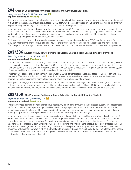## **204 Creating Competencies for Career Technical and Agricultural Education**

#### *Henry County Schools, McDonough, GA* **3 Implementation level:** *Initiating*

A competency-based learning model can lead to an array of authentic learning opportunities for students. When implemented in a Career Technical and Agricultural Education (CTAE) pathway, these opportunities involve solving real-world problems that require the integration of rigorous industry and content-area knowledge and skills.

In this session, presenters will discuss how they have ensured that CTAE courses in Henry County are aligned to industry and content-area standards and performance indicators. Presenters will also describe how they design assessments that require students to demonstrate their learning in novel, performance-based ways and how evidence of their learning in different settings is judged against common and clear scoring criteria.

Participants will learn how to develop and use common learning expectations and design CTAE learning pathways for grades 6–12 that maintain the intended level of rigor. They will share their learning with one another, recognize and honor the role CTAE plays in competency-based learning, and leave with their own ideas as well as the Henry County CTAE competencies.

## **205/206 Leveraging Advisory to Personalize Student Learning: From Learning Plans to Portfolios**

#### *Great Bay Charter School, Exeter, NH* **2 Implementation level:** *Developing*

This presentation will describe Great Bay Charter School's (GBCS) progress on the road toward personalized learning. GBCS is implementing its year-one action plan as a NextGen personalization project school and is committed to personalization, but like many schools, it is challenged by initiative overload. How can schools effectively link together components of their system of personalized learning to create cohesion—and results for students?

Presenters will discuss the current connections between GBCS's personalization initiatives, lessons learned so far, and likely next steps. The session will focus on the intersections between its faculty advisory program, writing across the curriculum program, recently implemented personalized learning plans, and evolving use of portfolios.

Participants will engage in a reflective exercise about the personalization of learning in their individual settings and consider both existing programs and potential barriers. They will develop an understanding of how GBCS's action plan has helped the school overcome barriers and strengthen the relationships among ongoing initiatives in order to work more efficiently.

## **208/209 The Promise of Proficiency-Based Education for Special Education Students**

#### *Regional School Unit 2, Hallowell, ME* **2 Implementation level:** *Developing*

Proficiency-based learning provides tremendous opportunity for students throughout the education system. This presentation will focus on the promise of proficiency-based learning for one group of learners in particular: those identified for special education services. Teachers in RSU 2 have found that the goals of proficiency-based education and special education are mutually supportive, and their special education students are benefitting from this synergy.

In this session, presenters will share their experiences implementing proficiency-based learning while meeting the needs of students identified for special education services. Focusing on effective instructional practices for proficiency-based learning in special education, they will describe a four-part implementation process: 1) understanding the standards, 2) using the taxonomy as a foundational learning tool for students, 3) identifying and implementing effective classroom practices that lead to increased student growth, and 4) developing individual education plans that are aligned with the standards. Ultimately, presenters will describe the ways in which the transition to proficiency-based learning has had a positive effect on their special education students' academic and functional growth, and how it has facilitated students' continued connections to and participation in the general education setting.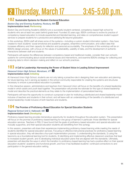## 2 Thursday, March 17 3:45-5:00 p.m.

## **102 Sustainable Systems for Student-Centered Education**

#### *Boston Day and Evening Academy, Roxbury, MA* **5 Implementation level:** *Performing*

Boston Day and Evening Academy (BDEA) runs a successful student-centered, competency-based high school for students who are at least two years behind grade level. Founded 20 years ago, BDEA continues to evolve its practice of competency-based education to include experiential and blended learning, and relies on comprehensive student support services to prepare students for a productive and satisfying life beyond graduation.

In this workshop, BDEA staff will share some of the systems—including a custom student information system—they have created to track students' social-emotional and academic progress, streamline communication, and collect data that increases efficiency and their capacity for reflection and personal accountability. The emphasis of this workshop will be on BDEA's design process, with a focus on the values of sustainability, usability of data, and the development of authentic interactions between staff and students.

Participants will explore the differences between competency-based and traditional models, consider their own school's systems for communicating about social-emotional issues and interventions, and examine BDEA's strategy for collecting and analyzing data to inform decision-making and reflect on our school's practices.

## **103 A Call to Leadership: Harnessing the Power of Student Voice in Leading School Improvement**

#### *Harwood Union High School, Moretown, VT* **1 Implementation level:** *Initiating*

At Harwood Union High School, students are not only taking a proactive role in designing their own education and planning for future learning, but in serving as leaders in the school community responsible for creating the systems and structures necessary to ensure a personalized education is possible.

In this interactive session, administrators and teachers from Harwood Union will focus on the benefits of a shared leadership model in which adults and youth lead together. The presentation will provide the rationale for this type of shared leadership model and describe the practical elements as they relate to the implementation of personalized learning.

Participants will have the opportunity to construct a proposal or plan for instituting a distributed and shared leadership model inclusive of teachers and students in their school, and will leave with an understanding of the benefits of a distributed and shared leadership model inclusive of both teachers and students.

## **104 The Promise of Proficiency-Based Education for Special Education Students**

### *Regional School Unit 2, Hallowell, ME* **1**

#### **Implementation level:** *Developing*

Proficiency-based learning provides tremendous opportunity for students throughout the education system. This presentation will focus on the promise of proficiency-based learning for one group of learners in particular: those identified for special education services. Teachers in RSU 2 have found that the goals of proficiency-based education and special education are mutually supportive, and their special education students are benefitting from this synergy.

In this session, presenters will share their experiences implementing proficiency-based learning while meeting the needs of students identified for special education services. Focusing on effective instructional practices for proficiency-based learning in special education, they will describe a four-part implementation process: 1) understanding the standards, 2) using the taxonomy as a foundational learning tool for students, 3) identifying and implementing effective classroom practices that lead to increased student growth, and 4) developing individual education plans that are aligned with the standards. Ultimately, presenters will describe the ways in which the transition to proficiency-based learning has had a positive effect on their special education students' academic and functional growth, and how it has facilitated students' continued connections to and participation in the general education setting.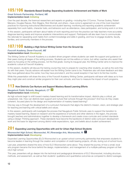## **105/106 Standards-Based Grading: Separating Academic Achievement and Habits of Work**

#### *Great Schools Partnership, Portland, ME* **Implementation level:** *Initiating*

Over the past decade, the foremost researchers and experts on grading—including Ken O'Connor, Thomas Guskey, Robert Marzano, Douglas Reeves, Rick Stiggins, Rick Wormeli, and others—have come to agreement on one of the most important practices for improving instructional effectiveness and student learning: monitoring and reporting academic achievement separately from work habits, character traits, and behaviors such as attendance, class participation, and turning work in on time.

In this session, participants will learn about habits-of-work reporting and how the practice can help teachers more accurately diagnose learning needs and improve academic interventions and support. Participants will also learn how to communicate the rationale for separating work habits from content knowledge and skills in grading, and how to engage students, faculty, families, and community members in the process.

## **107/108 Building a High School Writing Center from the Ground Up**

#### *Foxcroft Academy, Dover-Foxcroft, ME* **Implementation level:** *Developing*

The Writing Center at Foxcroft Academy is a student-driven program where students can seek the support and guidance of their peers during all stages of the writing process. Students are not line-editors or tutors, but rather coaches who assist their peers by focusing on the writing process, not the final grade. During its inaugural year, the Writing Center aims to improve the academic culture at Foxcroft Academy.

In this session, students will discuss the training course they took to prepare for coaching other students, as well as the work they do with their peers. Faculty advisors will explain how the Writing Center came to be. Presenters also will share feedback and data they have gathered about the center, how they have promoted it, and the overall reception it has had in its first few months.

While this presentation will share the story of the Foxcroft Academy Writing Center, participants will leave with ideas as to how they might plan and construct similar programs for their own schools, and how to measure the impact of such programs.

## **113 How Districts Can Nurture and Support Mastery-Based Learning Efforts**

#### *Naugatuck Public Schools, Naugatuck, CT* **3 Implementation level:** *Initiating*

As high schools begin to shift toward mastery-based learning and its transformative impact, districts play a critical, yet unexplored, role. How can districts best support and nurture their schools through this process? And how do they create coherent, focused plans for the design and implementation of mastery-based learning?

One key way is through the development of a curriculum framework that aligns the district's mission, vision, and strategic plan for teaching and learning with critical beliefs and values.

In this session, participants will investigate the process that Naugatuck Public Schools uses to support the transition to mastery-based learning. Based on research and the experience of schools and other districts in the region, the process brought teachers and administrators together to develop a framework and create cross-curricular and content standards using a Design Thinking approach. These standards have become the backbone of district-wide curriculum development work and the basis for alignment among district-wide expectations, rigor, and beliefs about student achievement.

## **201 Expanding Learning Opportunities with and for Urban High School Students**

#### *Woonsocket High School, Woonsocket, RI | Riverzedge Arts, Woonsocket, RI* **1 Implementation level:** *Developing*

Expanded Learning Opportunities (ELO) Woonsocket is an upstart school-community partnership that empowers students to become leaders in learning through the creation and completion of credit-bearing projects, off-site, during out-of-school hours.

Last year, presenters shared the story of how ELO Woonsocket came about. They shared the journey of how a small, local arts program became the force behind the design, implementation, and management of a multiple-pathway program at their city's high school.

This year, presenters will go deeper into the technical and pedagogical dimensions of ELO Woonsocket, including structure, methods, and assessment, as well as their students' qualitative and quantitative outcomes as compared to district averages.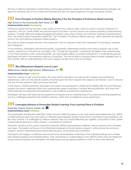Schools or districts interested in implementing cutting-edge proficiency-based and student-centered learning strategies will leave this workshop with an ELO toolkit and exercises that allow for rapid progression through the startup process.

## **202 From Principles to Practice: Making Meaning of the Ten Principles of Proficiency-Based Learning**

#### *High School in the Community, New Haven, CT* **1** **Implementation level:** *Developing*

Proficiency-based learning can take a wide variety of forms from state to state, school to school, and even classroom to classroom. And yet, certain beliefs and practices tend to be held in common across even diverse proficiency-based learning systems. To better define this shared pedagogical foundation upon which schools can build their proficiency-based learning work, the Great Schools Partnership created the "Ten Principles of Proficiency-Based Learning," which describes the features found in the most effective proficiency-based systems.

But what do these principles look like in the classroom? How do teachers make them meaningful for themselves, students, and colleagues?

In this workshop, participants will examine specific, purposefully implemented practices that various teachers use in their mastery classrooms to bring the ten principles to life. Through this exploration, participants will deepen their understanding of how these practices, when used purposefully, can have positive effects on student achievement. In small learning groups, participants will add to the presented collection of practices. They will be able to transport these concrete strategies back to their schools, with an understanding of how each supports at least one of the ten principles.

## **203 Why Williamstown Students Love to Learn**

#### *Williamstown Middle High School, Williamstown, VT* **3**

#### **Implementation level:** *Initiating*

Hear from a group of high school students who have had the inspiration and opportunity to design personal learning experiences. Learn why they feel all students should be given the time to explore their passions and interest—and to discover that one of those passions might just be learning itself.

In this session, student presenters will explain how interest and participation in Williamstown Middle High School's Pathways program has grown organically rather than systematically, present examples of student learning pathways, and show how these pathways are supported and assessed to meet academic and personal competencies.

Participants will leave with planning and assessment templates and an understanding of how personal-learning experiences can be a challenging adventure that students embrace, rather than an additional course requirement.

## **204 Leveraging Advisory to Personalize Student Learning: From Learning Plans to Portfolios**

#### *Great Bay Charter School, Exeter, NH* **1 Implementation level:** *Initiating*

This presentation will describe Great Bay Charter School's (GBCS) progress on the road toward personalized learning. GBCS is implementing its year-one action plan as a NextGen personalization project school and is committed to personalization, but like many schools, it is challenged by initiative overload. How can schools effectively link together components of their system of personalized learning to create cohesion—and results for students?

Presenters will discuss the current connections between GBCS's personalization initiatives, lessons learned so far, and likely next steps. The session will focus on the intersections between its faculty advisory program, writing across the curriculum program, recently implemented personalized learning plans, and evolving use of portfolios.

Participants will engage in a reflective exercise about the personalization of learning in their individual settings and consider both existing programs and potential barriers. They will develop an understanding of how GBCS's action plan has helped the school overcome barriers and strengthen the relationships among ongoing initiatives in order to work more efficiently.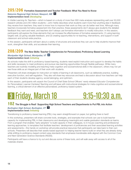## **205/206 Formative Assessment and Teacher Feedback: What You Need to Know**

### *Nokomis Regional High School, Newport, ME* **1** **Implementation level:** *Developing*

In *Visible Learning for Teachers*—which is based on a study of more than 900 meta-analyses representing well over 50,000 research articles and 240 million students—John Hattie describes what students want more than anything else in feedback they receive from teachers: they want to know how to improve their work so they can do better next time. Although many teachers incorporate formative assessment into their practice, these assessments don't always give students the detailed feedback they want and need, and teachers don't always use formative information to modify instruction. In this session, participants will explore the three elements that can increase the effectiveness of formative assessments: (1) using learning targets well, (2) giving valuable feedback, and (3) creating opportunities for re-teaching, interventions, and support in both classroom and school-wide practice.

In this session, participants will learn about a variety of structures and practices they can use to help students improve their work, strengthen their skills, and accelerate their learning.

## **208/209 The New Skills: Teacher Competencies for Personalized, Proficiency-Based Learning**

#### *Montpelier High School, Montpelier, VT* **4 Implementation level:** *Initiating*

As schools make the shift to proficiency-based learning, students need explicit instruction and support to develop the habits and skills necessary to meet proficiency and pursue new learning opportunities through flexible pathways. While many teachers are routinely modeling and teaching meta-cognition and socioemotional skills in the classroom, others may not yet see those skills as an integral part of their work with students.

Presenters will share strategies for instruction on habits of learning in all classrooms, such as deliberate practice, building executive function, and self-regulation. They also will share key resources and lead a discussion about how teachers can help each of their students develop agency, social belonging, and optimism.

In this session, participants will unpack the Council of Chief State School Officers' newly released *Educator Competencies for Personalized, Learner-Centered Teaching* and will leave with instructional strategies for meta-cognitive and socioemotional learning, a critical element of an effective personalized, proficiency-based system.

## a Friday, March 18 9:15-10:30 a.m.

## **102 The Struggle is Real! Supporting High School Teachers and Departments to Put PBL into Action**

#### *Burlington High School, Burlington, VT* **1 Implementation level:** *Initiating*

Transitioning to proficiency-based learning (PBL) may seem straightforward on paper, but getting there is hard!

In this workshop, presenters will share concrete tools, strategies, and examples that schools can use to build teacher capacity for implementing PBL in their classrooms and developing meaningful and usable graduation standards as teams. From a program that enables "early adopters" to build capacity in their colleagues, to in-house coaching and professional learning approaches, to templates that facilitate teachers' development of proficiencies and their associated learning activities and assessments—this hands-on workshop will provide practical resources that participants can take back to their own schools. Presenters will describe their assets-based approach to helping teacher teams build on what they are already doing while shifting to proficiency-based content-area standards that emphasize transferable skills aligned with the Common Core and Next Generation Science Standards (NGSS).

Participants will have a chance to try out and discuss some of these tools, and will walk away with access to all of the materials shared.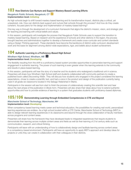## **103 How Districts Can Nurture and Support Mastery-Based Learning Efforts**

#### *Naugatuck Public Schools, Naugatuck, CT* **2 Implementation level:** *Initiating*

As high schools begin to shift toward mastery-based learning and its transformative impact, districts play a critical, yet unexplored, role. How can districts best support and nurture their schools through this process? And how do they create coherent, focused plans for the design and implementation of mastery-based learning?

One key way is through the development of a curriculum framework that aligns the district's mission, vision, and strategic plan for teaching and learning with critical beliefs and values.

In this session, participants will investigate the process that Naugatuck Public Schools uses to support the transition to mastery-based learning. Based on research and the experience of schools and other districts in the region, the process brought teachers and administrators together to develop a framework and create cross-curricular and content standards using a Design Thinking approach. These standards have become the backbone of district-wide curriculum development work and the basis for alignment among district-wide expectations, rigor, and beliefs about student achievement.

## **104 Authentic Learning in a Proficiency-Based High School**

#### *Windham High School, Windham, ME* **1 Implementation level:** *Developing*

The flexibility resulting from the shift to a proficiency-based system provides opportunities to personalize learning and support engagement in authentic learning. The power of such learning is even greater when this learning extends to the community and results in place-based learning.

In this session, participants will hear the story of a teacher and his students who redesigned a traditional unit in science. Presenters will share how Windham High School staff and students collaborated with community partners to create a published book called *Discovering Water*. They will discuss how students who engaged in this project considered the learning expectations, chose to create a scientific text, and had a voice in the product and design of the publication currently being used in all grade-six classrooms located in the Sebago Watershed in Maine.

Participants in the session will see from start to finish the process of collaboratively creating this scientific text and hear about the next phase of the publication in iBook form. Presenters will also share their ideas about how to extend authentic opportunities and how to provide evidence of learning in a system that graduates students with proficiency-based diplomas.

## **105/106 Demonstrating Learning through Embedded Competencies in CTE and Beyond**

#### *Manchester School of Technology, Manchester, NH* **Implementation level:** *Developing*

When competency-based learning meets career and technical education, the possibilities for creating real-world, personalized learning experiences are endless. As a high school located within a CTE Center, Manchester School of Technology (MST) is able to design relevant learning experiences in its classrooms and beyond through the close collaboration of faculty members across programs and content areas.

Presenters will share how the framework they have developed leads to integrated experiences that require students to demonstrate their learning across multiple content areas and fields as well as their learning of 21st century skills such as communication, research, and critical thinking.

Participants will leave with an understanding of how to collaboratively design and facilitate learning across content areas in a competency-based environment. Participants will have an opportunity to apply MST's approach and develop ideas for projects or units they can create in collaboration with their colleagues in their districts.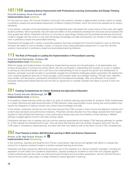## **107/108 Sustaining School Improvement with Professional Learning Communities and Design Thinking**

#### *Foxcroft Academy, Dover-Foxcroft, ME* **Implementation level:** *Initiating*

For the past two years, the Foxcroft Academy community has worked to develop a digital student portfolio system to enable a proficiency-based and personalized assessment of Maine's Guiding Principles, which the school has adopted as its mission standards.

In this session, members of the administration and the leadership team will present the current status of their work with digital student portfolios. More importantly, they will share and reflect on the professional development structures and processes that have guided their efforts. Presenters will focus on how they've used design thinking and the professional learning community model to engage with this work in a way that will develop knowledge and skills that teachers can transfer to their subject-area work in proficiency-based and personalized learning.

Participants will engage with a variety of essential questions that have emerged from Foxcroft Academy's work so that they will leave with ideas on how to develop, sustain, or improve cross-cutting standards assessment in a way that will drive systemic improvement in proficiency-based and personalized learning initiatives.

## **113 The Role of Principals in Leading the Implementation of Personalized Learning**

#### *Great Schools Partnership, Portland, ME* **Implementation level:** *Developing*

While the design and implementation of proficiency-based learning requires the full participation of all stakeholders and involves all educators in schools and central offices, the role of principals in shepherding this transition is crucial. In addition to serving as instructional leaders who must have a full understanding of how to support the growth and development of teachers, principals must also be able to successfully navigate the sometimes challenging waters associated with leading this work, requiring significant amounts of moral courage, communication skills, and strategic thinking. Through texts, reflection, case studies, and discussions, participants will explore the foundational knowledge, skills, and attributes of successful principals leading personalized learning and will have an opportunity to consider valuable next steps to pursue in their own buildings.

## **201 Creating Competencies for Career Technical and Agricultural Education**

#### *Henry County Schools, McDonough, GA* **1 Implementation level:** *Initiating*

A competency-based learning model can lead to an array of authentic learning opportunities for students. When implemented in a Career Technical and Agricultural Education (CTAE) pathway, these opportunities involve solving real-world problems that require the integration of rigorous industry and content-area knowledge and skills.

In this session, presenters will discuss how they have ensured that CTAE courses in Henry County are aligned to industry and content-area standards and performance indicators. Presenters will also describe how they design assessments that require students to demonstrate their learning in novel, performance-based ways and how evidence of their learning in different settings is judged against common and clear scoring criteria.

Participants will learn how to develop and use common learning expectations and design CTAE learning pathways for grades 6–12 that maintain the intended level of rigor. They will share their learning with one another, recognize and honor the role CTAE plays in competency-based learning, and leave with their own ideas as well as the Henry County CTAE competencies.

## **202 From Passive to Active: Self-Directed Learning in Math and Science Classrooms**

#### *Proctor Jr./Sr. High School, Proctor, VT* **4 Implementation level:** *Developing*

In this workshop, teachers and students from Proctor Junior/Senior High School will highlight their efforts to change their school from a teacher-centered model to a student-centered learning environment.

Presenters will share several key efforts that have been part of this transition to a "learner-centered" paradigm, including the separation of work habits from academic expectations, capacity-building for students to track their own progress against content proficiencies and drive their own learning through formative and summative assessment, and the role that Proctor's 'earned honors credit' policy plays in a larger proficiency-based approach to learning.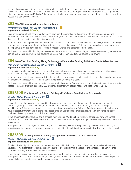In particular, presenters will focus on transitioning to PBL in Math and Science courses, describing strategies such as an "asynchronous classroom"—in which students work at their own pace through a collaborative, inquiry-based approach to labs—and teacher-designed "playlists" that target specific learning intentions and provide students with choices in how they access and demonstrate learning.

## **203 Why Williamstown Students Love to Learn**

#### *Williamstown Middle High School, Williamstown, VT* **2 Implementation level:** *Initiating*

Hear from a group of high school students who have had the inspiration and opportunity to design personal learning experiences. Learn why they feel all students should be given the time to explore their passions and interest—and to discover that one of those passions might just be learning itself.

In this session, student presenters will explain how interest and participation in Williamstown Middle High School's Pathways program has grown organically rather than systematically, present examples of student learning pathways, and show how these pathways are supported and assessed to meet academic and personal competencies.

Participants will leave with planning and assessment templates and an understanding of how personal-learning experiences can be a challenging adventure that students embrace, rather than an additional course requirement.

## **204 More Than Just Reading: Using Technology to Personalize Reading Activities in Content-Area Classes**

#### *Alan Shawn Feinstein Middle School, Coventry, RI* **1 Implementation level:** *Initiating*

The transition to blended learning can be overwhelming. But by using technology, teachers can effectively differentiate content-area reading lessons to support a variety of student learning styles and student choice.

In this session, presenters will guide participants through a sample lesson from the student's perspective, allowing participants to interact with the lesson while learning about the application's nuts and bolts.

Participants will leave with a teacher-tested game-plan for how to use free and low-cost applications to strengthen students' access to content-area text, especially ELL students, students with special needs, and accelerated learners.

## **205/206 Practices before Policies: Building a Proficiency-Based Mindset Schoolwide**

#### *Ellington Middle School, Ellington, CT* **4 Implementation level:** *Initiating*

Research shows that a proficiency-based feedback system increases student engagement, encourages personalized instruction, and gives students much greater control of the learning process. But for many educators, making the transition to proficiency-based learning and assessment can be challenging. Schools often have pockets of teachers who have successfully transitioned to proficiency-based grading and feedback practices. How do you get from pockets of proficiency-based grading to schoolwide adoption?

In this presentation, four teachers and a principal from Ellington Middle School will show participants how one school developed a school culture of learning that has led to the implementation of proficiency-based learning and assessment in all classrooms.

Participants will learn strategies for developing and implementing a schoolwide proficiency-based model from the ground up using book clubs, teacher study groups, parent and student input, and effective practices for building community support.

## **208/209 Sparking Student Learning through the Creative Use of Time and Space**

#### *Pittsfield Middle High School, Pittsfield, NH* **4 Implementation level:** *Developing*

Pittsfield Middle High School aims to infuse its curriculum with distinctive opportunities for students to learn in unique situations. This presentation will introduce participants to two programmatic strategies the school uses to achieve that objective: Learning Studios and Summer Academies.

Presenters will explain how these programs were developed, how they have evolved, and how they are sustained. Participants will learn how administrators, teachers, and students can collaborate to use non-traditional time and space to create distinctive project-based, student-centered learning experiences.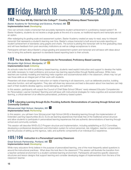## 4 Friday, March 18

## **102 "But How Will My Child Get Into College?": Creating Proficiency-Based Transcripts**

#### *Baxter Academy for Technology and Science, Portland, ME* **5 Implementation level:** *Developing*

How can schools create a transcript that accurately represents student achievement in a proficiency-based system? At Baxter Academy, students do not receive a single grade at the end of a course, so traditional reports and transcripts are not an option.

After redesigning its grading scale and assessment system, Baxter Academy created an easy-to-read, easy-to-interpret transcript that represents a student's learning over time. Baxter's unique transcript is built around accurate reporting on student achievement of standards using graphs and charts. The school is piloting this transcript with its first graduating class and will have feedback from post-secondary institutions as well as college acceptances to share.

Participants will learn about Baxter's unique grading and assessment system and transcript and will leave with ideas about how to bring this authentic approach to standards-based reporting back to their schools.

## **103 The New Skills: Teacher Competencies for Personalized, Proficiency-Based Learning**

### *Montpelier High School, Montpelier, VT* **2 Implementation level:** *Initiating*

As schools make the shift to proficiency-based learning, students need explicit instruction and support to develop the habits and skills necessary to meet proficiency and pursue new learning opportunities through flexible pathways. While many teachers are routinely modeling and teaching meta-cognition and socioemotional skills in the classroom, others may not yet see those skills as an integral part of their work with students.

Presenters will share strategies for instruction on habits of learning in all classrooms, such as deliberate practice, building executive function, and self-regulation. They also will share key resources and lead a discussion about how teachers can help each of their students develop agency, social belonging, and optimism.

In this session, participants will unpack the Council of Chief State School Officers' newly released *Educator Competencies for Personalized, Learner-Centered Teaching* and will leave with instructional strategies for meta-cognitive and socioemotional learning, a critical element of an effective personalized, proficiency-based system.

### **104 Liberating Learning through ELOs: Providing Authentic Demonstrations of Learning through School and Community Contexts**

#### *Winnacunnet High School, Hampton, NH* **1 Implementation level:** *Performing*

In this session, you will learn how Winnacunnet High School (WHS) is liberating learning through the implementation of Extended Learning Opportunities (ELO). ELOs are learning experiences that break free of the traditional school structure and allow students to participate in personalized learning experiences that are authentic demonstrations of learning through school and community contexts.

This session will describe WHS's ELO Program structure and implementation, including establishing an ELO Committee, developing a professional development and information system for school personnel, risk mitigation, teacher compensation, and the process of setting up the rigorous, valid, and authentic components of an individual ELO experience.

## **105/106 Instruction in a Personalized Learning Classroom**

#### *Great Schools Partnership, Portland, ME* **5 Implementation level:** *Developing*

While many educators firmly believe in the purpose of personalized learning, one of the most frequently asked questions is around the instructional practices: What does this look like in the classroom? This session will illustrate the transition from a teacher-centered environment to a student-centered learning environment. Participants will examine specific classroom structures and lesson designs that support learning and consider developing stages of implementation from the lens of the classroom teacher.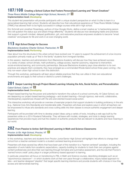## **107/108 Creating a School Culture that Fosters Personalized Learning and "Smart Creatives"**

#### *Three Rivers Middle College Magnet High School, Norwich, CT* **5 Implementation level:** *Developing*

This student-led presentation will provide participants with a unique student perspective on what it is like to learn in a personalized-learning high school. Students will describe how their educational experience at Three Rivers Middle College (TRMC) has allowed them to be highly successful in college courses while still in high school.

Eric Schmidt and Jonathan Rosenberg, authors of *How Google Works*, define a smart creative as "a hardworking person who will question the status quo and attack things differently." Students will discuss how developing habits and practices that support a growth mindset, delayed gratification, grit, and restorative practices empowers students to become "smart creatives" and prepare for life and work in an ever-changing world.

## **113 High School Design for Success**

#### *Blackstone Academy Charter School, Pawtucket, RI* **5 Implementation level:** *Performing*

Hear about how the structures in this urban school have evolved over 14 years to support the achievement of a low-income population primarily made up of "first in the family" students from immigrant families.

In this session, teachers and administrators from Blackstone Academy will discuss how they have achieved success in a variety of areas: school climate, math proficiency, college access, teacher autonomy, response to intervention, social-emotional learning, and community partnerships. Because Blackstone Academy pays close attention to its own practices and adjusts them constantly, they have emerged as a commended Rhode Island school three years running—the only non-exam urban high school to earn this distinction.

Through this workshop, participants will learn about reliable practices that they can utilize in their own educational environments and apply to their school or district's current challenges.

### **201 Deeper Learning through Project-Based Learning: Infusing the Arts, Social Action, and Personalization** *Cabot School, Cabot, VT* **5**

#### **Implementation level:** *Developing*

Project-based learning has the power and potential to transform the culture of a school community. At Cabot School, we are deepening our project-based learning pedagogy—and student learning—through rigorous, real-world, collaborative, interdisciplinary experiences infused with the arts and oriented toward social action.

This interactive workshop will provide an overview of exemplar projects that support students in building proficiency in the arts (e.g., National Core Arts Standards) and transferrable skills. Presenters will share and explore ways in which all teachers can be empowered to infuse arts standards and cross-cutting skills into their classes to ensure authentic engagement and deeper learning.

Participants will be provided with time to develop project ideas using a variety of tools, including a web app built by the presenters while on a 2014 Rowland Fellowship. They will leave with models, strategies, and tools to design learning experiences that provoke inquiry and fuel the creation of authentic products that are relevant to students and have meaning in our world.

## **202 From Passive to Active: Self-Directed Learning in Math and Science Classrooms**

#### *Proctor Jr./Sr. High School, Proctor, VT* **3 Implementation level:** *Developing*

In this workshop, teachers and students from Proctor Junior/Senior High School will highlight their efforts to change their school from a teacher-centered model to a student-centered learning environment.

Presenters will share several key efforts that have been part of this transition to a "learner-centered" paradigm, including the separation of work habits from academic expectations, capacity-building for students to track their own progress against content proficiencies and drive their own learning through formative and summative assessment, and the role that Proctor's 'earned honors credit' policy plays in a larger proficiency-based approach to learning.

In particular, presenters will focus on transitioning to PBL in Math and Science courses, describing strategies such as an "asynchronous classroom"—in which students work at their own pace through a collaborative, inquiry-based approach to labs—and teacher-designed "playlists" that target specific learning intentions and provide students with choices in how they access and demonstrate learning. **19**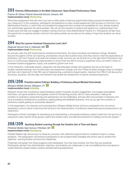## **203 Extreme Differentiation in the Math Classroom: Open-Ended Performance Tasks**

#### *Francis W. Parker Charter Essential School, Devens, MA* **Implementation level:** *Performing*

What does assessment look like when you have a wide variety of learning opportunities being pursued simultaneously in your classroom? In this workshop, participants will experience an open-ended assessment that focuses on Common Core Mathematical Practice, in which they will complete the assignment and consider the possibilities for how diverse students can authentically approach the same problem. We will use this scenario to explore and expand our understanding of the myriad ways that kids can engage in problem-solving (Common Core Mathematical Practice #1). Participants will also have the opportunity to examine student work from this same problem as we discuss the variety of ways that students can show success.

## **204 What Do Learner-Centered Classrooms Look Like?**

#### *Regional School Unit 2, Hallowell, ME* **5 Implementation level:** *Performing*

As schools make the shift toward learner-centered environments, the roles of students and teachers change. Students become the agents of their own learning, and teachers ensure that students have what they need to meet the expectations of proficiency. But how? Exactly what does this transition entail, and how can we tell that it's on the right track? Educators must focus on continuously deepening implementation to ensure that this shift is not just a superficial move, but rather a driver of increased student engagement, equity, and academic growth over time.

In this interactive, multimedia session, presenters will help attendees wrestle with questions that are at the heart of student-centered learning: how do instruction and assessment change, and why? What do these changes mean for students and their role in learning? In their fifth year of implementing a proficiency-based system, teachers from RSU 2 will discuss the structures, practices, and the daily commitments that enable the development of learner-centered classrooms.

## **205/206 Practices before Policies: Building a Proficiency-Based Mindset Schoolwide**

#### *Ellington Middle School, Ellington, CT* **3 Implementation level:** *Initiating*

Research shows that a proficiency-based feedback system increases student engagement, encourages personalized instruction, and gives students much greater control of the learning process. But for many educators, making the transition to proficiency-based learning and assessment can be challenging. Schools often have pockets of teachers who have successfully transitioned to proficiency-based grading and feedback practices. How do you get from pockets of proficiency-based grading to schoolwide adoption?

In this presentation, four teachers and a principal from Ellington Middle School will show participants how one school developed a school culture of learning that has led to the implementation of proficiency based-learning and assessment in all classrooms.

Participants will learn strategies for developing and implementing a schoolwide proficiency-based model from the ground up using book clubs, teacher study groups, parent and student input, and effective practices for building community support.

### **208/209 Sparking Student Learning through the Creative Use of Time and Space** *Pittsfield Middle High School, Pittsfield, NH* **3**

### **Implementation level:** *Developing*

Pittsfield Middle High School aims to infuse its curriculum with distinctive opportunities for students to learn in unique situations. This presentation will introduce participants to two programmatic strategies the school uses to achieve that objective: Learning Studios and Summer Academies.

Presenters will explain how these programs were developed, how they have evolved, and how they are sustained. Participants will learn how administrators, teachers, and students can collaborate to use non-traditional time and space to create distinctive project-based, student-centered learning experiences.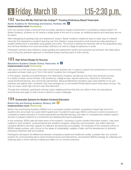## 5 Friday, March 18 1:15-2:30 p.m.

## **102 "But How Will My Child Get Into College?": Creating Proficiency-Based Transcripts**

#### *Baxter Academy for Technology and Science, Portland, ME* **4 Implementation level:** *Developing*

How can schools create a transcript that accurately represents student achievement in a proficiency-based system? At Baxter Academy, students do not receive a single grade at the end of a course, so traditional reports and transcripts are not an option.

After redesigning its grading scale and assessment system, Baxter Academy created an easy-to-read, easy-to-interpret transcript that represents a student's learning over time. Baxter's unique transcript is built around accurate reporting on student achievement of standards using graphs and charts. The school is piloting this transcript with its first graduating class and will have feedback from post-secondary institutions as well as college acceptances to share.

Participants will learn about Baxter's unique grading and assessment system and transcript and will leave with ideas about how to bring this authentic approach to standards-based reporting back to their schools.

## **103 High School Design for Success**

#### *Blackstone Academy Charter School, Pawtucket, RI* **4 Implementation level:** *Performing*

Hear about how the structures in this urban school have evolved over 14 years to support the achievement of a low-income population primarily made up of "first in the family" students from immigrant families.

In this session, teachers and administrators from Blackstone Academy will discuss how they have achieved success in a variety of areas: school climate, math proficiency, college access, teacher autonomy, response to intervention, social-emotional learning, and community partnerships. Because Blackstone Academy pays close attention to its own practices and adjusts them constantly, they have emerged as a commended Rhode Island school three years running—the only non-exam urban high school to earn this distinction.

Through this workshop, participants will learn about reliable practices that they can utilize in their own educational environments and apply to their school or district's current challenges.

## **104 Sustainable Systems for Student-Centered Education**

#### *Boston Day and Evening Academy, Roxbury, MA* **2 Implementation level:** *Performing*

Boston Day and Evening Academy (BDEA) runs a successful student-centered, competency-based high school for students who are at least two years behind grade level. Founded 20 years ago, BDEA continues to evolve its practice of competency-based education to include experiential and blended learning, and relies on comprehensive student support services to prepare students for a productive and satisfying life beyond graduation.

In this workshop, BDEA staff will share some of the systems—including a custom student information system—they have created to track students' social-emotional and academic progress, streamline communication, and collect data that increases efficiency and their capacity for reflection and personal accountability. The emphasis of this workshop will be on BDEA's design process, with a focus on the values of sustainability, usability of data, and the development of authentic interactions between staff and students.

Participants will explore the differences between competency-based and traditional models, consider their own school's systems for communicating about social-emotional issues and interventions, and examine BDEA's strategy for collecting and analyzing data to inform decision-making and reflect on our school's practices.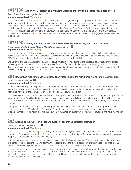## **105/106 Supporting, Collecting, and Analyzing Evidence of Learning in a Proficiency-Based System**

#### *Great Schools Partnership, Portland, ME* **Implementation level:** *Performing*

As schools move to implement personalized learning and encourage and support a greater number of pathways where students are able to demonstrate their learning in more varied and individualized ways, the role of assessment becomes increasingly paramount. How can we ensure that while we personalize learning, we continue to define consistent and equitable standards for all students? In this session, coaches from the Great Schools Partnership will share strategies and resources educators can use to create an approach that considers the central role of evidence of learning and discuss how we can use task-neutral scoring criteria to assess what students know and can do while engaged in different learning experiences.

## **107/108 Creating a School Culture that Fosters Personalized Learning and "Smart Creatives"**

### *Three Rivers Middle College Magnet High School, Norwich, CT* **4 Implementation level:** *Developing*

This student-led presentation will provide participants with a unique student perspective on what it is like to learn in a personalized-learning high school. Students will describe how their educational experience at Three Rivers Middle College (TRMC) has allowed them to be highly successful in college courses while still in high school.

Eric Schmidt and Jonathan Rosenberg, authors of *How Google Works*, define a smart creative as "a hardworking person who will question the status quo and attack things differently." Students will discuss how developing habits and practices that support a growth mindset, delayed gratification, grit, and restorative practices empowers students to become "smart creatives" and prepare for life and work in an ever-changing world.

### **201 Deeper Learning through Project-Based Learning: Infusing the Arts, Social Action, and Personalization** *Cabot School, Cabot, VT* **4**

### **Implementation level:** *Developing*

Project-based learning has the power and potential to transform the culture of a school community. At Cabot School, we are deepening our project-based learning pedagogy—and student learning—through rigorous, real-world, collaborative, interdisciplinary experiences infused with the arts and oriented toward social action.

This interactive workshop will provide an overview of exemplar projects that support students in building proficiency in the arts (e.g., National Core Arts Standards) and transferrable skills. Presenters will share and explore ways in which all teachers can be empowered to infuse arts standards and cross-cutting skills into their classes to ensure authentic engagement and deeper learning.

Participants will be provided with time to develop project ideas using a variety of tools, including a web app built by the presenters while on a 2014 Rowland Fellowship. They will leave with models, strategies, and tools to design learning experiences that provoke inquiry and fuel the creation of authentic products that are relevant to students and have meaning in our world.

## **202 Expanding the PLC: How Schoolwide Action Research Can Improve Instruction**

#### *Bacon Academy, Colchester, CT* **1 Implementation level:** *Developing*

Current research suggests that high-functioning professional learning communities (PLCs) have a positive impact on student learning. At Bacon Academy, we identified the need to broaden the notion of a professional learning community to incorporate not just a team of teachers, but the entire faculty.

In 2014, the school established an action research team called the Teacher Learning Community to take on the development of a school-wide professional learning community. Presenters will share the process that the team used to surface teachers' needs, including surveys for teachers and students, interviews, and classroom observations.

Through this session, participants will gain an understanding of how to function as a school-wide PLC that can help teachers access research-based strategies to improve instruction. Participants will learn about Bacon Academy's working model for how to conduct action research in their schools and will leave with protocols to support the development of an action research team in their own schools.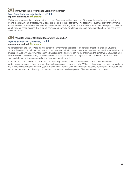## **203 Instruction in a Personalized Learning Classroom**

#### *Great Schools Partnership, Portland, ME* **4 Implementation level:** *Developing*

While many educators firmly believe in the purpose of personalized learning, one of the most frequently asked questions is around the instructional practices. What does this look like in the classroom? This session will illustrate the transition from a teacher-centered environment to that of a student-centered learning environment. Participants will examine specific classroom structures and lesson designs that support learning and consider developing stages of implementation from the lens of the classroom teacher.

## **204 What Do Learner-Centered Classrooms Look Like?**

#### *Regional School Unit 2, Hallowell, ME* **4 Implementation level:** *Performing*

As schools make the shift toward learner-centered environments, the roles of students and teachers change. Students become the agents of their own learning, and teachers ensure that students have what they need to meet the expectations of proficiency. But how? Exactly what does this transition entail, and how can we tell that it's on the right track? Educators must focus on continuously deepening implementation to ensure that this shift is not just a superficial move, but rather a driver of increased student engagement, equity, and academic growth over time.

In this interactive, multimedia session, presenters will help attendees wrestle with questions that are at the heart of student-centered learning: how do instruction and assessment change, and why? What do these changes mean for students and their role in learning? In their fifth year of implementing a proficiency-based system, teachers from RSU 2 will discuss the structures, practices, and the daily commitments that enable the development of learner-centered classrooms.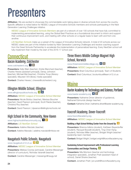## **Presenters**

**Affiliation**: We are excited to showcase the commendable work taking place in diverse schools from across the country. Specific affiliation is noted below for NESSC League of Innovative Schools members and schools participating in the Next Generation Learning Challenges initiative.

*NESSC League of Innovative Schools Members* are part of a network of over 100 schools that have fully committed to implementing personalized learning, using the Global Best Practices as a foundational document to inform and support their continuous improvement work, and meeting with other schools on a regular basis to learn with and from one another.

*LIS NextGen Schools* make up a subset of the League of Innovative Schools network. A total of 20 schools across our NESSC states are part of this initiative funded by Next Generation Learning Challenges and receive coaching support from the Great Schools Partnership to accelerate the implementation of personalized learning. Every NextGen school will fully implement their model by the start of the 2016-17 school year.

## **Connecticut<br>Bacon Academy, Colchester**

www.colchesterct.org **1 5**

**Presenters:** Kelly Blain (teacher), Kristie Blanchard (teacher), Charles Hewes (assistant principal), Denay Johnston (teacher), Michael Mal (teacher), Christine Troup (literacy specialist), Maureen Vint (library media specialist)

**Contact:** Charles Hewes | chewes@colchesterct.org

## Ellington Middle School, Ellington

www.ellingtonpublicschools.org **3 4**

#### **Affiliation:** *NESSC League of Innovative School Member*

**Presenters:** Nicole Bolduc (teacher), Marissa Boucher (teacher), David Pearson (principal), Scott Raiola (teacher), Christina Roy (teacher)

**Contact:** David Pearson | dpearson@ellingtonschools.net

## High School in the Community, New Haven

www.highschoolinthecommunity.org **1 2**

#### **Affiliation:** *LIS NextGen School*

**Presenters:** Adeline Marzialo (teacher)

**Contact:** Adeline Marzialo | adeline.marzialo@nhboe.net

## Naugatuck Public Schools, Naugatuck

www.naugatuck.k12.ct.us **2 3**

#### **Affiliation:** *NESSC League of Innovative School Member*

**Presenters:** Melissa Cooney (principal), Caroline Messenger (director of curriculum), Nicholas Varanelli (teacher)

**Contact:** Caroline Messenger | messengc@naugy.net

## Three Rivers Middle College Magnet High School, Norwich

www.threeriversmiddlecollege.org **4 5**

**Affiliation:** *NESSC League of Innovative School Member* **Presenters:** Brad Columbus (principal), Team of Students **Contact:** Brad Columbus | bcolumbus@learn.k12.ct.us

## **Maine**<br>Baxter Academy for Technology and Science, Portland

www.baxter-academy.org **4 5**

**Presenters:** Katherine Driver (director of guidance), Nathaniel Edmunds (design teacher)

**Contact:** Katherine Driver | katherine.driver@baxter-academy.org

## Foxcroft Academy, Dover-Foxcroft

www.foxcroftacademy.org

**Affiliation:** *NESSC League of Innovative School Member*

#### **Building a High School Writing Center from the Ground Up 2**

**Presenters:** Brianna Adkins (student), Kathleen Bayerdorffer (student), Racquel Bozzelli (student), Ting-Chen Kang (student), Nicholas Miller (teacher), Bridget Wright (teacher/ leadership team member)

**Contact:** Bridget Wright | bridget.wright@foxcroftacademy.org

### **Sustaining School Improvement with Professional Learning Communities and Design Thinking 3**

**Presenters:** Mia Morrison (teacher and technology integration specialist), Jonathan Pratt (assistant head of school), Daniel Straine (teacher)

**Contact:** Jonathan Pratt | jon.pratt@foxcroftacademy.org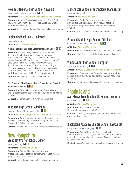## Nokomis Regional High School, Newport

www.rsu19.org/nokomis/home **1 2**

#### **Affiliation:** *NESSC League of Innovative School Member*

**Presenters:** Kasie Giallombardo (teacher), Sherri Gould (literacy coach), Jean Haeger (senior associate, Great Schools Partnership)

**Contact:** Jean Haeger | jhaeger@greatschoolspartnership.org

## Regional School Unit 2, Hallowell

www.kidsrsu.org

**Affiliation:** *LIS NextGen School*

### **What Do Learner-Centered Classrooms Look Like? 4 5**

**Presenters:** Karen Doughty (teacher), Kendra Guiou (teacher), Tom McKee (teacher/assistant principal), Sarah Knowlton (teacher), Nick Pascarella (teacher), Melissa Burnham-Barter (teacher), Kit Canning (teacher), Gary Carter (teacher), Richard Amero (principal), John Armentrout (director of information technology), Erik Gray (assistant principal), Steve Lavoie (principal), Matthew Shea (coordinator of student achievement), Mark Tinkham (principal), Bill Zima (superintendent)

**Contact:** Matthew Shea | mshea@kidsrsu.org

### **The Promise of Proficiency-Based Education for Special Education Students 1 2**

**Presenters:** Debora Murphy (director of special education), Eric Palleschi (special education teacher, Monmouth Middle School)

**Contact:** Debora Murphy | dmurphy@kidsrsu.org

## Windham High School, Windham

www.windham.k12.me.us/wsd\_hs **1 3**

**Affiliation:** *NESSC League of Innovative School Member*

**Presenters:** Amy Denecker, (librarian), Christine Hesler (director of curriculum), Sarah Plummer (Portland Water District), Jeff Riddle (science teacher)

**Contact:** Christine Hesler | chesler@windhamraymondschools.org

## **New Hampshire**<br>Great Bay Charter School, Exeter

www.gbecs.org **1 2**

#### **Affiliation:** *LIS NextGen School*

**Presenters:** Stacey Clark (teacher, advisor), Kristianne Lemieux (teacher, advisor), Peter Stackhouse (principal/executive director)

**Contact:** Peter Stackhouse | pstackhouse@gbecs.org

## Manchester School of Technology, Manchester

mst.mansd.org **3**

#### **Affiliation:** *LIS NextGen School*

**Presenters:** Daniel Cassidy (manufacturing instructor), Karen Machado (principal), Nancy McCall (teacher), Pat Seward (English teacher), Jessica Weiss (English teacher)

**Contact:** Karen Machado | khanniganmachado@mansd.org

## Pittsfield Middle High School, Pittsfield

www.pittsfieldnhschools.org/pmhs **3 4**

**Affiliation:** *LIS NextGen School* 

**Presenters:** Rick Anthony (teacher), Chris Davitt (teacher) **Contact:** Chris Davitt | cdavitt@pittsfieldnhschools.org

## Winnacunnet High School, Hampton

www.winnacunnet.org **1 4**

**Affiliation:** *NESSC League of Innovative School Member*

**Presenters:** Donna Couture (extended learning coordinator), Jamie Marston (curriculum coordinator), William McGowan (principal)

**Contact:** Donna Couture | dcouture@warriors.winnacunnet.org

## **Rhode Island**<br>Alan Shawn Feinstein Middle School, Coventry

www.asfms.net **1 3**

#### **Affiliation:** *LIS NextGen School*

**Presenters:** Jennifer Graham (teacher), Courtney Macropoulos (teacher)

**Contact:** Courtney Macropoulos | macropouloscourtney@ coventryschools.net

## Blackstone Academy Charter School, Pawtucket

www.blackstoneacademy.org **4 5**

**Presenters:** Kyleen Carpenter (head of school), John Horton (grade 9 dean, science teacher), Stacy Joslin (grade 10 dean; social studies teacher), Carolyn Sheehan (executive director)

**Contact:** Kyleen Carpenter | kcarpenter@blackstoneacademy.org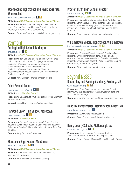## Woonsocket High School and Riverzedge Arts, **Woonsocket**

www.woonsocketschools.org **1 2**

#### **Affiliation:** *NESSC League of Innovative School Member*

**Presenters:** Rebekah Greenwald (executive director), Karen Barbosa (expanded learning & youth development director), Liz Holohan (ELO coordinator)

**Contact:** Rebekah Greenwald | bekah@riverzedgearts.org

## <u>Vermont</u><br>Burlington H<u>igh S</u>chool, Burlington

bhs.bsdvt.org **1 3**

**Affiliation:** *NESSC League of Innovative School Member*

**Presenters:** Tori Cleiland (special educator, Vergennes Union High School) Lindsey Cox (project manager, Burlington-Winooski Partnership for Change), Amy Dickson (teacher learning coordinator, Burlington-Winooski Partnership for Change), Jocelyn Fletcher Scheuch (teacher and PD coordinator, Burlington High School)

**Contact:** Amy Dickson | amy@partnershipvt.org

## Cabot School, Cabot

www.washnesu.org/cabot **4 5**

**Affiliation:** *LIS NextGen School*

**Presenters:** Brian Boyes (music educator), Peter Stratman (humanities teacher)

**Contact:** Brian Boyes | bboyes@cabotschool.org

## Harwood Union High School, Moretown

www.harwood.org **1 2**

**Affiliation:** *LIS NextGen School*

**Presenters:** Emma Cosgrove (student), Noah Eckstein (student), Jonah Ibson (teacher), Sam Krotinger (teacher), Cole Lavoie (student), Hazel Macmillan (student), Amy Rex (principal)

**Contact:** Amy Rex | arex@wwsu.org

## Montpelier High School, Montpelier

www.mpsvt.org/mhs **2 4**

**Affiliation:** *NESSC League of Innovative School Member*

**Presenters:** Michael Martin (director of curriculum), Mike McRaith (principal)

**Contact:** Mike McRaith | mikemc@mpsvt.org

## Proctor Jr./Sr. High School, Proctor

www.phs.rcsu.org **3 4**

#### **Affiliation:** *NESSC League of Innovative School Member*

**Presenters:** Alena Digan (science teacher), Reilly Duggan (student), Sarah Marcus (science teacher), Deborah Rodolfy (principal), Adam Rosenberg (director of curriculum & instruction), Patricia Ryan (math teacher), Maxine Tilden (student)

**Contact:** Adam Rosenberg | adam.rosenberg@rcsu.org

## Williamstown Middle/High School, Williamstown

http://www.williamstownmhs.org **2 3**

**Affiliation:** *NESSC League of Innovative School Member*

**Presenters:** Brieonna Bassett (student), Svetlanta Bell (student), Bryton Hanchett (student),Taylor Hegarty (student), Desiree Herring (student), Brandon Morande (student), Bryce Quintin (student), Alicia Rominger (learning coordinator), Haley Trottier (student)

**Contact:** Alicia Rominger | arominger@onsu.org

## **Beyond NESSC**<br>Boston Day and Evening Academy, Roxbury, MA www.bacademy.org **2 5**

**Presenters:** Brian Connor (teacher), Latashia Furtado (community field coordinator), Arpi Karapetyan (data and accountability manager)

**Contact:** Brian Connor | bconnor@bostonpublicschools.org

## Francis W. Parker Charter Essential School, Devens, MA

www.theparkerschool.org **4**

**Presenter:** Dawn Crane (math teacher)

**Contact:** Dawn Crane | dawn@theparkerschool.org

## Henry County Schools, McDonough, GA

www.henry.k12.ga.us **1 3**

**Presenters:** Sharon Bonner (CTAE coordinator), John Steiner (Middle School Engineering teacher)

**Contact:** Sharon Bonner | Sharon.Bonner@henry.k12.ga.us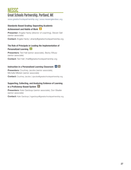## NESSC<br>Great Schools Partnership, Portland, ME

www.greatschoolspartnership.org | www.newenglandssc.org

### **Standards-Based Grading: Separating Academic Achievement and Habits of Work 2**

**Presenter:** Angela Hardy (director of coaching), Steven Sell (senior associate)

**Contact:** Angela Hardy | ahardy@greatschoolspartnership.org

### **The Role of Principals in Leading the Implementation of Personalized Learning 3**

**Presenters:** Ted Hall (senior associate), Becky Wilusz (senior associate)

**Contact:** Ted Hall | thall@greatschoolspartnership.org

### **Instruction in a Personalized Learning Classroom 4 5**

**Presenters:** Courtney Jacobs (senior associate), Michelle Milstein (senior associate)

**Contact:** Courtney Jacobs | cjacobs@greatschoolspartnership.org

#### **Supporting, Collecting, and Analyzing Evidence of Learning in a Proficiency-Based System 5**

**Presenters:** Kate Gardoqui (senior associate), Don Weafer (senior associate)

**Contact:** Kate Gardoqui | kgardoqui@greatschoolspartnership.org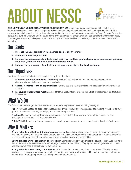# ABOUT NESSC



**THE NEW ENGLAND SECONDARY SCHOOL CONSORTIUM** is a pioneering partnership committed to fostering forward-thinking innovations in the design and delivery of secondary education across the New England region. The five partner states of Connecticut, Maine, New Hampshire, Rhode Island, and Vermont, along with the Great Schools Partnership, believe that our bold vision, shared goals, and innovative strategies will empower us to close persistent achievement gaps, promote greater educational equity and opportunity for all students, and lead our educators into a new era of secondary schooling.

## Our Goals

- **1. Increase five year graduation rates across each of our five states.**
- **2. Decrease annual dropout rates.**
- **3. Increase the percentage of students enrolling in two- and four-year college degree programs or pursuing accredited, industry-certified postsecondary certificates.**
- **4. Increase the percentage of students who graduate from high school college-ready.**

## Our Objectives

Our five states are committed to pursuing three long-term objectives:

- **1. Diplomas that certify readiness for life:** High school graduation decisions that are based on students demonstrating proficiency on learning standards.
- **2. Student-centered learning opportunities:** Personalized and flexible proficiency-based learning pathways for all students.
- **3. Measuring what matters most:** Learner-centered accountability systems that utilize multiple measures of student achievement.

## What We Do

The Consortium brings together state leaders and educators to pursue three overarching strategies:

**Policy:** Advance a state-led policy agenda focused on three critical, high-leverage areas of schooling in the 21st century: graduation decisions, learning pathways, and accountability systems.

**Practice:** Connect and support practicing educators across states through networking activities, best-practice exchange, and our League of Innovative Schools.

**Public Will:** Build public understanding of and support for more innovative approaches to educating today's students.

## Why It Matters

**Strong schools are the best job-creation program we have.** Imagination, expertise, creativity, entrepreneurialismthese are the assets that drive innovation, create new industries, and produce the most sought-after workers. Preparing every student for success will strengthen our economy and empower our communities.

**Strong schools are the foundation of our society.** Democracy, opportunity, prosperity, equality—the values that have defined America—depend on an informed, engaged, well-educated citizenry. To prepare the next generation of citizens and leaders, we need great schools for every student.

**Strong schools create strong communities.** Schools are the cornerstones of our communities. We celebrate our students, cheer on our local teams, and welcome graduates into our workplaces, institutions, and families. To keep our communities vibrant, prosperous, and thriving, we need great schools.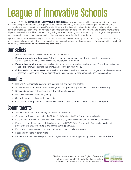# League of Innovative Schools

Founded in 2011, the **LEAGUE OF INNOVATIVE SCHOOLS** is a regional professional learning community for schools that are working to personalize learning for all students and ensure they are ready for the colleges and careers of their choice. Membership is open to any New England middle or high school – including charter schools, private schools, and career-and-technical institutions – committed to educational equity, student-centered learning, and ongoing improvement. All participating schools will become part of a growing network of learning institutions working to strengthen their programs, exchange professional expertise, and create better learning opportunities for their students.

If your school is interested in learning more about a cross-state network fueled by professional integrity, peer accountability, and professional collaboration that promotes vetted and researched best practices in support of personalized learning for all students, please visit **www.newenglandssc.org/league**.

## Our Beliefs

The League of Innovative Schools is founded on three core beliefs:

- **● Educators create great schools.** Skilled teachers and strong leaders matter far more than funding levels or facilities. Schools are only as effective as the educators who lead them.
- **● Every school can improve.** Learning is a lifelong process—for students and educators. The highest performing schools are continually learning, improving, and seeking out what works.
- **Collaboration drives success.** In the world's most effective schools, teachers work together and develop a sense of collective responsibility. They are committed to their students, to their community, and to one another.

## **Benefits**

- Regional Network meetings devoted to learning with and from one another.
- Access to NESSC resources and tools designed to support the implementation of personalized learning.
- **●** Dedicated members-only website and online collaboration space.
- **●** Principals' Professional Learning Group.
- Support for annual school strategic planning.
- **●** Collective knowledge and experience of over 100 innovative secondary schools across New England.

## **Commitments**

- Attain the vision and implementing the mission of the NESSC.
- **●** Conduct a self-assessment using the *Global Best Practices Toolkit* in first year of membership.
- **●** Develop and implement school action plans informed by self-assessment and state and local priorities.
- **●** Examine and implement local policies aligned with the NESSC Policy Framework of graduating students by proficiency and providing multiple and flexible learning pathways.
- Participate in League networking opportunities and professional development.
- **●** Host and participate in school visits.
- Present and share innovative practices, strategies, and outcomes supported by data with member schools.



The five partner states of the New England Secondary School Consortium thank the Nellie Mae Education Foundation for its generous support of the NESSC.